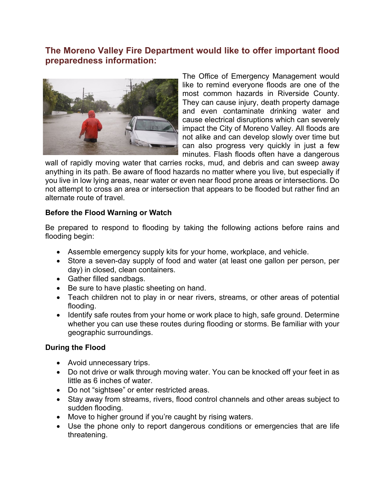## **The Moreno Valley Fire Department would like to offer important flood preparedness information:**



The Office of Emergency Management would like to remind everyone floods are one of the most common hazards in Riverside County. They can cause injury, death property damage and even contaminate drinking water and cause electrical disruptions which can severely impact the City of Moreno Valley. All floods are not alike and can develop slowly over time but can also progress very quickly in just a few minutes. Flash floods often have a dangerous

wall of rapidly moving water that carries rocks, mud, and debris and can sweep away anything in its path. Be aware of flood hazards no matter where you live, but especially if you live in low lying areas, near water or even near flood prone areas or intersections. Do not attempt to cross an area or intersection that appears to be flooded but rather find an alternate route of travel.

## **Before the Flood Warning or Watch**

Be prepared to respond to flooding by taking the following actions before rains and flooding begin:

- Assemble emergency supply kits for your home, workplace, and vehicle.
- Store a seven-day supply of food and water (at least one gallon per person, per day) in closed, clean containers.
- Gather filled sandbags.
- Be sure to have plastic sheeting on hand.
- Teach children not to play in or near rivers, streams, or other areas of potential flooding.
- Identify safe routes from your home or work place to high, safe ground. Determine whether you can use these routes during flooding or storms. Be familiar with your geographic surroundings.

## **During the Flood**

- Avoid unnecessary trips.
- Do not drive or walk through moving water. You can be knocked off your feet in as little as 6 inches of water.
- Do not "sightsee" or enter restricted areas.
- Stay away from streams, rivers, flood control channels and other areas subject to sudden flooding.
- Move to higher ground if you're caught by rising waters.
- Use the phone only to report dangerous conditions or emergencies that are life threatening.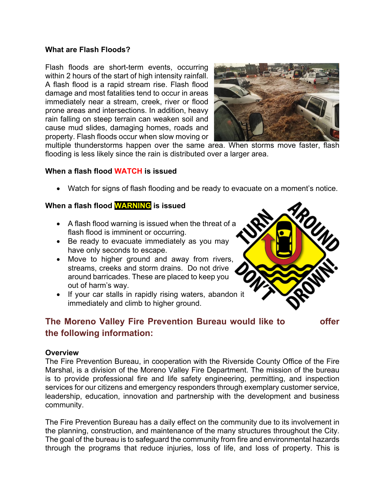## **What are Flash Floods?**

Flash floods are short-term events, occurring within 2 hours of the start of high intensity rainfall. A flash flood is a rapid stream rise. Flash flood damage and most fatalities tend to occur in areas immediately near a stream, creek, river or flood prone areas and intersections. In addition, heavy rain falling on steep terrain can weaken soil and cause mud slides, damaging homes, roads and property. Flash floods occur when slow moving or



multiple thunderstorms happen over the same area. When storms move faster, flash flooding is less likely since the rain is distributed over a larger area.

## **When a flash flood WATCH is issued**

• Watch for signs of flash flooding and be ready to evacuate on a moment's notice.

## **When a flash flood WARNING is issued**

- A flash flood warning is issued when the threat of a flash flood is imminent or occurring.
- Be ready to evacuate immediately as you may have only seconds to escape.
- Move to higher ground and away from rivers, streams, creeks and storm drains. Do not drive around barricades. These are placed to keep you out of harm's way.
- If your car stalls in rapidly rising waters, abandon it immediately and climb to higher ground.

# **The Moreno Valley Fire Prevention Bureau would like to offer the following information:**

#### **Overview**

The Fire Prevention Bureau, in cooperation with the Riverside County Office of the Fire Marshal, is a division of the Moreno Valley Fire Department. The mission of the bureau is to provide professional fire and life safety engineering, permitting, and inspection services for our citizens and emergency responders through exemplary customer service, leadership, education, innovation and partnership with the development and business community.

The Fire Prevention Bureau has a daily effect on the community due to its involvement in the planning, construction, and maintenance of the many structures throughout the City. The goal of the bureau is to safeguard the community from fire and environmental hazards through the programs that reduce injuries, loss of life, and loss of property. This is

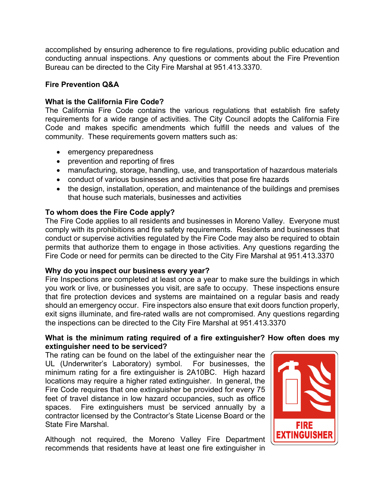accomplished by ensuring adherence to fire regulations, providing public education and conducting annual inspections. Any questions or comments about the Fire Prevention Bureau can be directed to the City Fire Marshal at 951.413.3370.

## **Fire Prevention Q&A**

## **What is the California Fire Code?**

The California Fire Code contains the various regulations that establish fire safety requirements for a wide range of activities. The City Council adopts the California Fire Code and makes specific amendments which fulfill the needs and values of the community. These requirements govern matters such as:

- emergency preparedness
- prevention and reporting of fires
- manufacturing, storage, handling, use, and transportation of hazardous materials
- conduct of various businesses and activities that pose fire hazards
- the design, installation, operation, and maintenance of the buildings and premises that house such materials, businesses and activities

## **To whom does the Fire Code apply?**

The Fire Code applies to all residents and businesses in Moreno Valley. Everyone must comply with its prohibitions and fire safety requirements. Residents and businesses that conduct or supervise activities regulated by the Fire Code may also be required to obtain permits that authorize them to engage in those activities. Any questions regarding the Fire Code or need for permits can be directed to the City Fire Marshal at 951.413.3370

## **Why do you inspect our business every year?**

Fire Inspections are completed at least once a year to make sure the buildings in which you work or live, or businesses you visit, are safe to occupy. These inspections ensure that fire protection devices and systems are maintained on a regular basis and ready should an emergency occur. Fire inspectors also ensure that exit doors function properly, exit signs illuminate, and fire-rated walls are not compromised. Any questions regarding the inspections can be directed to the City Fire Marshal at 951.413.3370

## **What is the minimum rating required of a fire extinguisher? How often does my extinguisher need to be serviced?**

The rating can be found on the label of the extinguisher near the UL (Underwriter's Laboratory) symbol. For businesses, the minimum rating for a fire extinguisher is 2A10BC. High hazard locations may require a higher rated extinguisher. In general, the Fire Code requires that one extinguisher be provided for every 75 feet of travel distance in low hazard occupancies, such as office spaces. Fire extinguishers must be serviced annually by a contractor licensed by the Contractor's State License Board or the State Fire Marshal.

Although not required, the Moreno Valley Fire Department recommends that residents have at least one fire extinguisher in

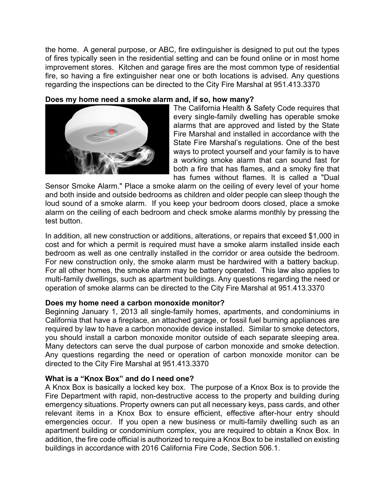the home. A general purpose, or ABC, fire extinguisher is designed to put out the types of fires typically seen in the residential setting and can be found online or in most home improvement stores. Kitchen and garage fires are the most common type of residential fire, so having a fire extinguisher near one or both locations is advised. Any questions regarding the inspections can be directed to the City Fire Marshal at 951.413.3370

## **Does my home need a smoke alarm and, if so, how many?**



The California Health & Safety Code requires that every single-family dwelling has operable smoke alarms that are approved and listed by the State Fire Marshal and installed in accordance with the State Fire Marshal's regulations. One of the best ways to protect yourself and your family is to have a working smoke alarm that can sound fast for both a fire that has flames, and a smoky fire that has fumes without flames. It is called a "Dual

Sensor Smoke Alarm." Place a smoke alarm on the ceiling of every level of your home and both inside and outside bedrooms as children and older people can sleep though the loud sound of a smoke alarm. If you keep your bedroom doors closed, place a smoke alarm on the ceiling of each bedroom and check smoke alarms monthly by pressing the test button.

In addition, all new construction or additions, alterations, or repairs that exceed \$1,000 in cost and for which a permit is required must have a smoke alarm installed inside each bedroom as well as one centrally installed in the corridor or area outside the bedroom. For new construction only, the smoke alarm must be hardwired with a battery backup. For all other homes, the smoke alarm may be battery operated. This law also applies to multi-family dwellings, such as apartment buildings. Any questions regarding the need or operation of smoke alarms can be directed to the City Fire Marshal at 951.413.3370

## **Does my home need a carbon monoxide monitor?**

Beginning January 1, 2013 all single-family homes, apartments, and condominiums in California that have a fireplace, an attached garage, or fossil fuel burning appliances are required by law to have a carbon monoxide device installed. Similar to smoke detectors, you should install a carbon monoxide monitor outside of each separate sleeping area. Many detectors can serve the dual purpose of carbon monoxide and smoke detection. Any questions regarding the need or operation of carbon monoxide monitor can be directed to the City Fire Marshal at 951.413.3370

## **What is a "Knox Box" and do I need one?**

A Knox Box is basically a locked key box. The purpose of a Knox Box is to provide the Fire Department with rapid, non-destructive access to the property and building during emergency situations. Property owners can put all necessary keys, pass cards, and other relevant items in a Knox Box to ensure efficient, effective after-hour entry should emergencies occur. If you open a new business or multi-family dwelling such as an apartment building or condominium complex, you are required to obtain a Knox Box. In addition, the fire code official is authorized to require a Knox Box to be installed on existing buildings in accordance with 2016 California Fire Code, Section 506.1.